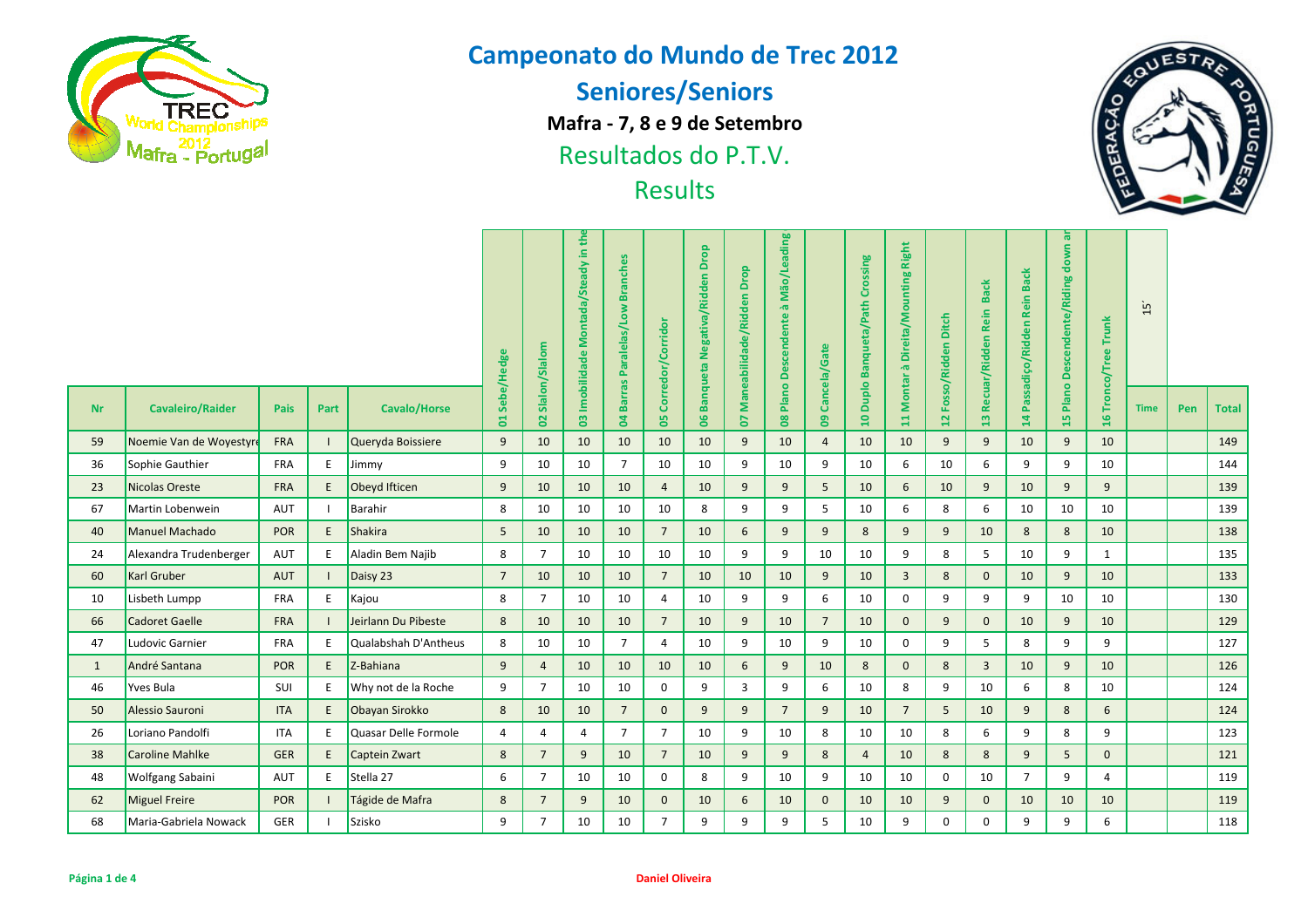

**Seniores/Seniors**

**Mafra - 7, 8 e 9 de Setembro**

Resultados do P.T.V.



|              | <b>Watra - Portugal</b> |                  |                                     |                                                |                   |                                      | Resultados do P.I.V.         |                                                               | <b>Results</b> |                                 |                          |                    |                            |                            |                                       |                     |                 |                |                 | 區            |             |     | V            |
|--------------|-------------------------|------------------|-------------------------------------|------------------------------------------------|-------------------|--------------------------------------|------------------------------|---------------------------------------------------------------|----------------|---------------------------------|--------------------------|--------------------|----------------------------|----------------------------|---------------------------------------|---------------------|-----------------|----------------|-----------------|--------------|-------------|-----|--------------|
|              | Sebe/Hedge              | 02 Slalon/Slalom | Montada/Steady in th<br>Imobilidade | <b>Branches</b><br><b>Barras Paralelas/Low</b> | Corredor/Corridor | <b>Banqueta Negativa/Ridden Drop</b> | Drop<br>Maneabilidade/Ridden | Mão/Leading<br>$\overline{\mathfrak{G}}$<br>Plano Descendente | Cancela/Gate   | 10 Duplo Banqueta/Path Crossing | à Direita/Mounting Right | Fosso/Ridden Ditch | 13 Recuar/Ridden Rein Back | Passadiço/Ridden Rein Back | ಹ<br>down<br>Plano Descendente/Riding | 6 Tronco/Tree Trunk | $\overline{15}$ |                |                 |              |             |     |              |
| <b>Nr</b>    | <b>Cavaleiro/Raider</b> | <b>Pais</b>      | Part                                | <b>Cavalo/Horse</b>                            | ă                 |                                      | $\mathbf{S}$                 | $\mathbf{a}$                                                  | 8              | $\overline{0}$                  | 2                        | $\bf{80}$          | $\bullet$                  |                            | <b>Montar</b><br>$\mathbf{H}$         | $\overline{12}$     |                 | $\overline{4}$ | $\overline{15}$ | $\bar{H}$    | <b>Time</b> | Pen | <b>Total</b> |
| 59           | Noemie Van de Woyestyr  | <b>FRA</b>       |                                     | Queryda Boissiere                              | 9                 | 10                                   | 10                           | 10                                                            | 10             | 10                              | 9                        | 10                 | $\overline{4}$             | 10                         | 10                                    | 9                   | 9               | 10             | 9               | 10           |             |     | 149          |
| 36           | Sophie Gauthier         | <b>FRA</b>       | E                                   | Jimmy                                          | 9                 | 10                                   | 10                           | $\overline{7}$                                                | 10             | 10                              | 9                        | 10                 | 9                          | 10                         | 6                                     | 10                  | 6               | 9              | 9               | 10           |             |     | 144          |
| 23           | Nicolas Oreste          | <b>FRA</b>       | E                                   | Obeyd Ifticen                                  | 9                 | 10                                   | 10                           | 10                                                            | 4              | 10                              | 9                        | 9                  | 5                          | 10                         | 6                                     | 10                  | 9               | 10             | 9               | 9            |             |     | 139          |
| 67           | Martin Lobenwein        | AUT              |                                     | Barahir                                        | 8                 | 10                                   | 10                           | 10                                                            | 10             | 8                               | 9                        | 9                  | 5                          | 10                         | 6                                     | 8                   | 6               | 10             | 10              | 10           |             |     | 139          |
| 40           | Manuel Machado          | <b>POR</b>       | $\mathsf E$                         | Shakira                                        | 5                 | 10                                   | 10                           | 10                                                            | $\overline{7}$ | 10                              | 6                        | 9                  | 9                          | 8                          | 9                                     | 9                   | 10              | 8              | 8               | 10           |             |     | 138          |
| 24           | Alexandra Trudenberger  | AUT              | E                                   | Aladin Bem Najib                               | 8                 | $\overline{7}$                       | 10                           | 10                                                            | 10             | 10                              | 9                        | 9                  | 10                         | 10                         | 9                                     | 8                   | 5               | 10             | 9               | $\mathbf{1}$ |             |     | 135          |
| 60           | <b>Karl Gruber</b>      | AUT              |                                     | Daisy 23                                       | $\overline{7}$    | 10                                   | 10                           | 10                                                            | $\overline{7}$ | 10                              | 10                       | 10                 | 9                          | 10                         | $\overline{3}$                        | 8                   | $\mathbf{0}$    | 10             | 9               | 10           |             |     | 133          |
| 10           | Lisbeth Lumpp           | <b>FRA</b>       | E                                   | Kajou                                          | 8                 | $\overline{7}$                       | 10                           | 10                                                            | 4              | 10                              | 9                        | 9                  | 6                          | 10                         | 0                                     | 9                   | 9               | 9              | 10              | 10           |             |     | 130          |
| 66           | <b>Cadoret Gaelle</b>   | <b>FRA</b>       |                                     | Jeirlann Du Pibeste                            | 8                 | 10                                   | 10                           | 10                                                            | $\overline{7}$ | 10                              | 9                        | 10                 | $\overline{7}$             | 10                         | $\mathbf{0}$                          | 9                   | $\mathbf 0$     | 10             | 9               | 10           |             |     | 129          |
| 47           | Ludovic Garnier         | FRA              | E                                   | Qualabshah D'Antheus                           | 8                 | 10                                   | 10                           | $\overline{7}$                                                | 4              | 10                              | 9                        | 10                 | 9                          | 10                         | $\mathbf 0$                           | 9                   | 5               | 8              | 9               | 9            |             |     | 127          |
| $\mathbf{1}$ | André Santana           | <b>POR</b>       | E                                   | Z-Bahiana                                      | 9                 | $\overline{4}$                       | 10                           | 10                                                            | 10             | 10                              | $6\overline{6}$          | 9                  | 10                         | 8                          | $\mathbf{0}$                          | 8                   | $\overline{3}$  | 10             | 9               | 10           |             |     | 126          |
| 46           | <b>Yves Bula</b>        | SUI              | E                                   | Why not de la Roche                            | 9                 | $\overline{7}$                       | 10                           | 10                                                            | $\mathbf{0}$   | 9                               | $\mathbf{3}$             | 9                  | 6                          | 10                         | 8                                     | 9                   | 10              | 6              | 8               | 10           |             |     | 124          |
| 50           | Alessio Sauroni         | <b>ITA</b>       | E                                   | Obayan Sirokko                                 | 8                 | 10                                   | 10                           | $\overline{7}$                                                | $\mathbf{0}$   | 9                               | 9                        | $7\overline{ }$    | 9                          | 10                         | $\overline{7}$                        | 5                   | 10              | 9              | 8               | 6            |             |     | 124          |
| 26           | Loriano Pandolfi        | <b>ITA</b>       | E                                   | Quasar Delle Formole                           | $\overline{4}$    | $\overline{4}$                       | $\overline{4}$               | $\overline{7}$                                                | $\overline{7}$ | 10                              | 9                        | 10                 | 8                          | 10                         | 10                                    | 8                   | 6               | 9              | 8               | 9            |             |     | 123          |
| 38           | Caroline Mahlke         | <b>GER</b>       | E                                   | Captein Zwart                                  | 8                 | $7\overline{ }$                      | 9                            | 10                                                            | $\overline{7}$ | 10                              | 9                        | 9                  | 8                          | $\overline{4}$             | 10                                    | 8                   | 8               | 9              | 5               | $\mathbf{0}$ |             |     | 121          |
| 48           | <b>Wolfgang Sabaini</b> | AUT              | E                                   | Stella 27                                      | 6                 | $\overline{7}$                       | 10                           | 10                                                            | $\mathbf 0$    | 8                               | 9                        | 10                 | 9                          | 10                         | 10                                    | $\mathbf 0$         | 10              | $\overline{7}$ | 9               | 4            |             |     | 119          |
| 62           | <b>Miguel Freire</b>    | <b>POR</b>       |                                     | Tágide de Mafra                                | 8                 | $7\overline{ }$                      | 9                            | 10                                                            | $\mathbf 0$    | 10                              | 6                        | 10                 | $\mathbf 0$                | 10                         | 10                                    | 9                   | $\mathbf 0$     | 10             | 10              | 10           |             |     | 119          |
| 68           | Maria-Gabriela Nowack   | GER              |                                     | Szisko                                         | 9                 | $\overline{7}$                       | 10                           | 10                                                            | $\overline{7}$ | 9                               | 9                        | 9                  | 5                          | 10                         | 9                                     | $\mathbf 0$         | $\mathbf 0$     | 9              | 9               | 6            |             |     | 118          |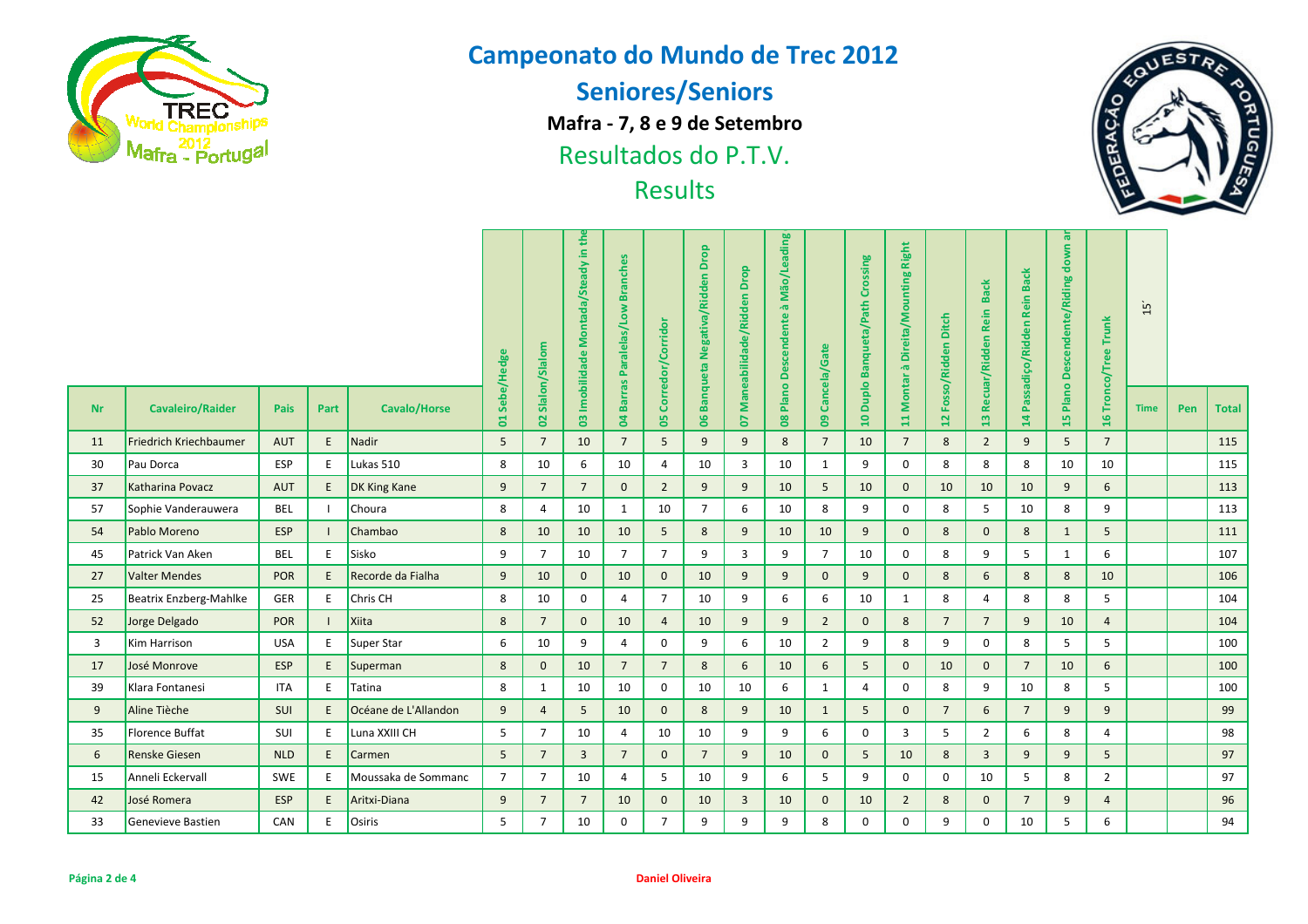

**Seniores/Seniors**

**Mafra - 7, 8 e 9 de Setembro**

Resultados do P.T.V.



| <b>Watra - Portugal</b> | Resultados do P.I.V.<br><b>Results</b> |                  |                                     |                                  |                  |                                      |                              |                                                               |                 |                              |                                    |                         |                         |                                      |                                                    | V<br>區              |                 |                 |                            |                |             |     |       |
|-------------------------|----------------------------------------|------------------|-------------------------------------|----------------------------------|------------------|--------------------------------------|------------------------------|---------------------------------------------------------------|-----------------|------------------------------|------------------------------------|-------------------------|-------------------------|--------------------------------------|----------------------------------------------------|---------------------|-----------------|-----------------|----------------------------|----------------|-------------|-----|-------|
|                         | Sebe/Hedge                             | 02 Slalon/Slalom | Montada/Steady in th<br>Imobilidade | <b>Branches</b><br>Paralelas/Low | Corredor/Corrido | <b>Banqueta Negativa/Ridden Drop</b> | Drop<br>Maneabilidade/Ridden | Mão/Leading<br>$\overline{\mathfrak{g}}$<br>Plano Descendente | Cancela/Gate    | Duplo Banqueta/Path Crossing | 11 Montar à Direita/Mounting Right | Fosso/Ridden Ditch      | Recuar/Ridden Rein Back | <b>Back</b><br>Passadiço/Ridden Rein | $\bar{\mathfrak{a}}$<br>down<br>Descendente/Riding | 6 Tronco/Tree Trunk | $\overline{15}$ |                 |                            |                |             |     |       |
| <b>Nr</b>               | <b>Cavaleiro/Raider</b>                | Pais             | Part                                | <b>Cavalo/Horse</b>              | <b>S</b>         |                                      | $\overline{0}$               | <b>Barras</b><br>$\overline{a}$                               | 8               | $\overline{0}6$              | <b>S</b>                           | $\overline{\mathbf{8}}$ | $\overline{6}$          | $\overline{a}$                       |                                                    | $\overline{12}$     | 13              | $\overline{14}$ | Plano I<br>$\overline{15}$ | $\mathbf{H}$   | <b>Time</b> | Pen | Total |
| 11                      | Friedrich Kriechbaumer                 | <b>AUT</b>       | E                                   | Nadir                            | 5                | $\overline{7}$                       | 10                           | $\overline{7}$                                                | 5               | 9                            | 9                                  | 8                       | $\overline{7}$          | 10                                   | $\overline{7}$                                     | 8                   | $\overline{2}$  | 9               | 5                          | $\overline{7}$ |             |     | 115   |
| 30                      | Pau Dorca                              | ESP              | E                                   | Lukas 510                        | 8                | 10                                   | 6                            | 10                                                            | $\overline{4}$  | 10                           | 3                                  | 10                      | 1                       | 9                                    | $\mathbf 0$                                        | 8                   | 8               | 8               | 10                         | 10             |             |     | 115   |
| 37                      | Katharina Povacz                       | <b>AUT</b>       | E                                   | <b>DK King Kane</b>              | $\overline{9}$   | $\overline{7}$                       | $\overline{7}$               | $\mathbf 0$                                                   | $\overline{2}$  | 9                            | 9                                  | 10                      | 5                       | 10                                   | $\mathbf{0}$                                       | 10                  | 10              | 10              | 9                          | 6              |             |     | 113   |
| 57                      | Sophie Vanderauwera                    | <b>BEL</b>       | - 1                                 | Choura                           | 8                | $\overline{4}$                       | 10                           | $\mathbf{1}$                                                  | 10              | $\overline{7}$               | 6                                  | 10                      | 8                       | 9                                    | 0                                                  | 8                   | 5               | 10              | 8                          | 9              |             |     | 113   |
| 54                      | Pablo Moreno                           | <b>ESP</b>       |                                     | Chambao                          | 8                | 10                                   | 10                           | 10                                                            | 5               | 8                            | 9                                  | 10                      | 10                      | 9                                    | $\mathbf 0$                                        | 8                   | $\mathbf{0}$    | 8               | $\mathbf{1}$               | 5              |             |     | 111   |
| 45                      | Patrick Van Aken                       | <b>BEL</b>       | E                                   | Sisko                            | 9                | $\overline{7}$                       | 10                           | $\overline{7}$                                                | $\overline{7}$  | 9                            | $\overline{3}$                     | 9                       | $\overline{7}$          | 10                                   | 0                                                  | 8                   | 9               | 5               | $\mathbf{1}$               | 6              |             |     | 107   |
| 27                      | Valter Mendes                          | <b>POR</b>       | E                                   | Recorde da Fialha                | $\overline{9}$   | 10                                   | $\mathbf 0$                  | 10                                                            | $\mathbf{0}$    | 10                           | 9                                  | 9                       | $\mathbf{0}$            | 9                                    | $\mathbf{0}$                                       | 8                   | 6               | 8               | 8                          | 10             |             |     | 106   |
| 25                      | Beatrix Enzberg-Mahlke                 | GER              | E                                   | Chris CH                         | 8                | 10                                   | 0                            | 4                                                             | $7^{\circ}$     | 10                           | 9                                  | 6                       | 6                       | 10                                   | 1                                                  | 8                   | $\overline{4}$  | 8               | 8                          | 5              |             |     | 104   |
| 52                      | Jorge Delgado                          | POR              |                                     | Xiita                            | 8                | $7\overline{ }$                      | $\mathbf{0}$                 | 10                                                            | $\overline{4}$  | 10                           | 9                                  | 9                       | $\overline{2}$          | $\mathbf 0$                          | 8                                                  | $\overline{7}$      | $7\overline{ }$ | 9               | 10                         | $\overline{4}$ |             |     | 104   |
| 3                       | Kim Harrison                           | <b>USA</b>       | E                                   | Super Star                       | 6                | 10                                   | 9                            | 4                                                             | 0               | 9                            | 6                                  | 10                      | $\overline{2}$          | 9                                    | 8                                                  | 9                   | $\mathbf 0$     | 8               | 5                          | 5              |             |     | 100   |
| 17                      | José Monrove                           | <b>ESP</b>       | E                                   | Superman                         | 8                | $\mathbf{0}$                         | 10                           | $\overline{7}$                                                | $7\overline{ }$ | 8                            | 6                                  | 10                      | $6\overline{6}$         | 5                                    | $\mathbf 0$                                        | 10                  | $\mathbf{0}$    | $\overline{7}$  | 10                         | 6              |             |     | 100   |
| 39                      | Klara Fontanesi                        | <b>ITA</b>       | E                                   | Tatina                           | 8                | 1                                    | 10                           | 10                                                            | 0               | 10                           | 10                                 | 6                       | $\mathbf{1}$            | 4                                    | $\mathbf 0$                                        | 8                   | 9               | 10              | 8                          | 5              |             |     | 100   |
| 9                       | Aline Tièche                           | SUI              | E                                   | Océane de L'Allandon             | $\overline{9}$   | $\overline{4}$                       | 5                            | 10                                                            | $\mathbf{0}$    | 8                            | 9                                  | 10                      | 1                       | 5                                    | $\mathbf{0}$                                       | $\overline{7}$      | 6               | $\overline{7}$  | 9                          | 9              |             |     | 99    |
| 35                      | Florence Buffat                        | SUI              | E                                   | Luna XXIII CH                    | 5                | $\overline{7}$                       | 10                           | 4                                                             | 10              | 10                           | 9                                  | 9                       | 6                       | $\mathbf 0$                          | $\overline{3}$                                     | 5                   | $\overline{2}$  | 6               | 8                          | 4              |             |     | 98    |
| 6                       | <b>Renske Giesen</b>                   | <b>NLD</b>       | E                                   | Carmen                           | 5                | $\overline{7}$                       | 3                            | $\overline{7}$                                                | $\mathbf{0}$    | $\overline{7}$               | 9                                  | 10                      | $\mathbf{0}$            | 5                                    | 10                                                 | 8                   | $\overline{3}$  | 9               | 9                          | 5              |             |     | 97    |
| 15                      | Anneli Eckervall                       | SWE              | E                                   | Moussaka de Sommanc              | $\overline{7}$   | $\overline{7}$                       | 10                           | 4                                                             | 5               | 10                           | 9                                  | 6                       | 5                       | 9                                    | 0                                                  | $\mathbf 0$         | 10              | 5               | 8                          | $\overline{2}$ |             |     | 97    |
| 42                      | José Romera                            | <b>ESP</b>       | E                                   | Aritxi-Diana                     | 9                | $7\overline{ }$                      | $\overline{7}$               | 10                                                            | $\mathbf{0}$    | 10                           | $\overline{3}$                     | 10                      | $\mathbf 0$             | 10                                   | $\overline{2}$                                     | 8                   | $\mathbf 0$     | $\overline{7}$  | 9                          | $\overline{4}$ |             |     | 96    |
| 33                      | Genevieve Bastien                      | CAN              | $\mathsf E$                         | Osiris                           | 5                | $\overline{7}$                       | 10                           | 0                                                             | $\overline{7}$  | 9                            | 9                                  | 9                       | 8                       | $\mathbf 0$                          | $\mathbf 0$                                        | 9                   | $\mathbf 0$     | 10              | 5                          | 6              |             |     | 94    |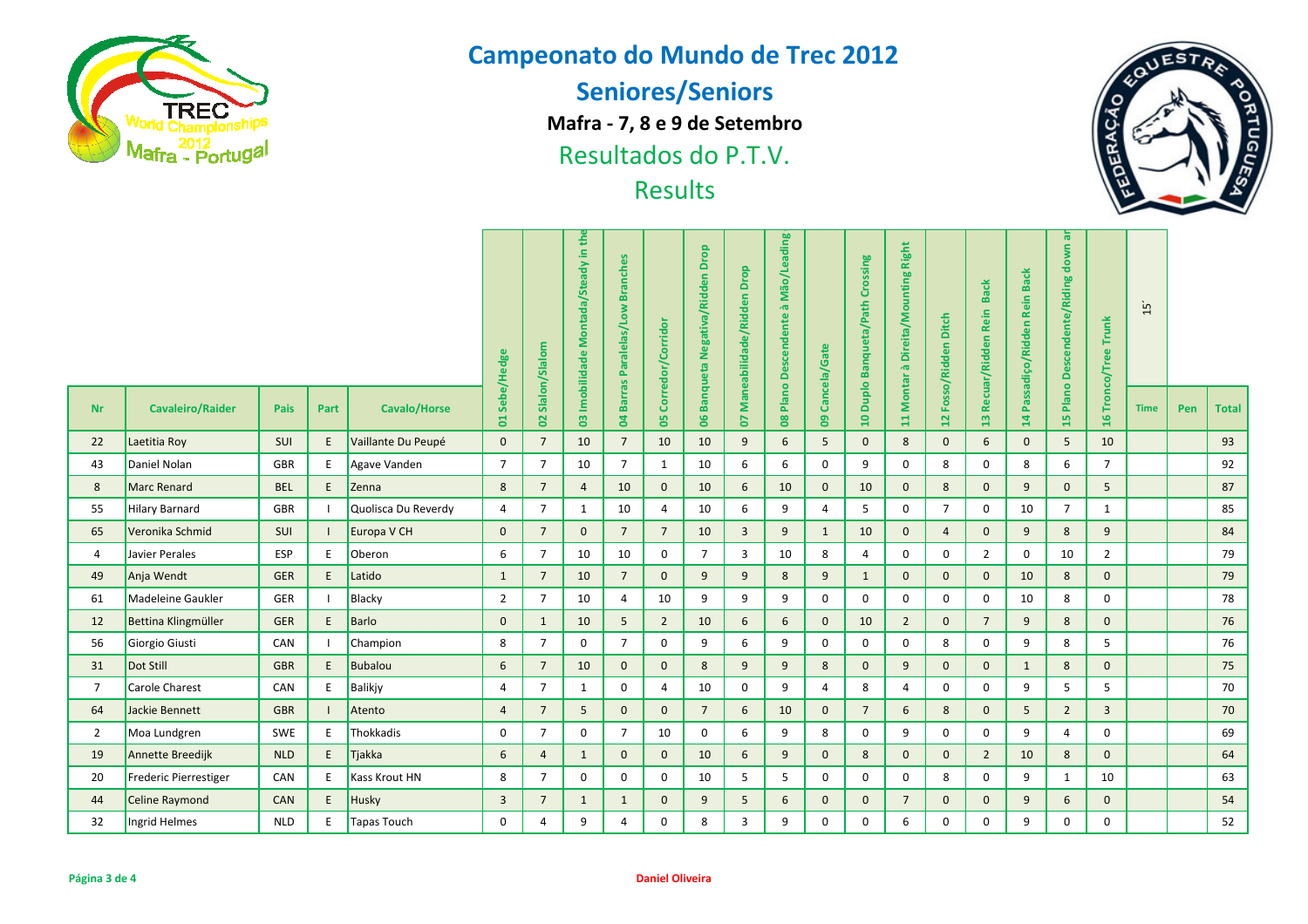

**Seniores/Seniors**

**Mafra - 7, 8 e 9 de Setembro**

Resultados do P.T.V.



|                | <b>Watra - Portugal</b> |                  |                                     |                                                   |                   |                                      | Resultados do P.I.V.         |                                       | <b>Results</b> |                                 |                          |                    |                            |                            |                                       |                     |                 |                |                | 區              |             |     | V            |
|----------------|-------------------------|------------------|-------------------------------------|---------------------------------------------------|-------------------|--------------------------------------|------------------------------|---------------------------------------|----------------|---------------------------------|--------------------------|--------------------|----------------------------|----------------------------|---------------------------------------|---------------------|-----------------|----------------|----------------|----------------|-------------|-----|--------------|
|                | Sebe/Hedge              | 02 Slalon/Slalom | Montada/Steady in th<br>Imobilidade | <b>Branches</b><br>Paralelas/Low<br><b>Barras</b> | Corredor/Corridor | <b>Banqueta Negativa/Ridden Drop</b> | Drop<br>Maneabilidade/Ridden | Mão/Leading<br>à<br>Plano Descendente | Cancela/Gate   | 10 Duplo Banqueta/Path Crossing | à Direita/Mounting Right | Fosso/Ridden Ditch | 13 Recuar/Ridden Rein Back | Passadiço/Ridden Rein Back | ᄛ<br>down<br>Plano Descendente/Riding | 6 Tronco/Tree Trunk | $\overline{15}$ |                |                |                |             |     |              |
| <b>Nr</b>      | <b>Cavaleiro/Raider</b> | Pais             | Part                                | <b>Cavalo/Horse</b>                               | <b>S</b>          |                                      | $\overline{0}$               | $\overline{a}$                        | 8              | 8                               | 2                        | $\bf{80}$          | $\bullet$                  |                            | 11 Montar                             | $\overline{12}$     |                 | $\overline{4}$ | 15             | $\bar{H}$      | <b>Time</b> | Pen | <b>Total</b> |
| 22             | Laetitia Roy            | SUI              | E                                   | Vaillante Du Peupé                                | $\mathbf{0}$      | $\overline{7}$                       | 10                           | $\overline{7}$                        | 10             | 10                              | 9                        | 6                  | 5                          | $\mathbf{0}$               | 8                                     | $\mathbf{0}$        | $6\phantom{1}$  | $\mathbf{0}$   | 5              | 10             |             |     | 93           |
| 43             | Daniel Nolan            | <b>GBR</b>       | E                                   | Agave Vanden                                      | $\overline{7}$    | $\overline{7}$                       | 10                           | $\overline{7}$                        | 1              | 10                              | 6                        | 6                  | $\mathbf{0}$               | 9                          | $\mathbf 0$                           | 8                   | $\mathbf 0$     | 8              | 6              | $\overline{7}$ |             |     | 92           |
| 8              | <b>Marc Renard</b>      | <b>BEL</b>       | $\mathsf E$                         | Zenna                                             | 8                 | $7\overline{ }$                      | $\overline{4}$               | 10                                    | $\mathbf 0$    | 10                              | 6                        | 10                 | $\mathbf{0}$               | 10                         | $\mathbf{0}$                          | 8                   | $\mathbf{0}$    | 9              | $\mathbf{0}$   | 5              |             |     | 87           |
| 55             | <b>Hilary Barnard</b>   | GBR              | $\blacksquare$                      | Quolisca Du Reverdy                               | $\overline{4}$    | $\overline{7}$                       | $\mathbf{1}$                 | 10                                    | 4              | 10                              | 6                        | 9                  | 4                          | 5                          | $\mathbf 0$                           | $\overline{7}$      | $\mathbf 0$     | 10             | $\overline{7}$ | $\mathbf{1}$   |             |     | 85           |
| 65             | Veronika Schmid         | SUI              | $\blacksquare$                      | Europa V CH                                       | $\mathbf 0$       | $7\overline{ }$                      | $\mathbf{0}$                 | $\overline{7}$                        | $\overline{7}$ | 10                              | $\overline{3}$           | 9                  | $\mathbf{1}$               | 10                         | $\mathbf{0}$                          | $\overline{4}$      | $\mathbf 0$     | 9              | 8              | 9              |             |     | 84           |
| 4              | Javier Perales          | ESP              | E                                   | Oberon                                            | 6                 | $\overline{7}$                       | 10                           | 10                                    | 0              | $\overline{7}$                  | 3                        | 10                 | 8                          | 4                          | $\mathbf 0$                           | 0                   | $\overline{2}$  | $\mathbf 0$    | 10             | $\overline{2}$ |             |     | 79           |
| 49             | Anja Wendt              | <b>GER</b>       | $\mathsf E$                         | Latido                                            | $\mathbf{1}$      | $7\overline{ }$                      | 10                           | $\overline{7}$                        | $\mathbf{0}$   | 9                               | 9                        | 8                  | 9                          | $\mathbf{1}$               | $\mathbf{0}$                          | $\mathbf 0$         | $\mathbf 0$     | 10             | 8              | $\mathbf 0$    |             |     | 79           |
| 61             | Madeleine Gaukler       | GER              | $\blacksquare$                      | Blacky                                            | $\overline{2}$    | $\overline{7}$                       | 10                           | $\overline{4}$                        | 10             | 9                               | 9                        | 9                  | 0                          | $\mathbf 0$                | 0                                     | 0                   | $\mathbf 0$     | 10             | 8              | $\mathbf 0$    |             |     | 78           |
| 12             | Bettina Klingmüller     | <b>GER</b>       | E                                   | <b>Barlo</b>                                      | $\mathbf 0$       | $\mathbf{1}$                         | 10                           | 5                                     | $2^{\circ}$    | 10                              | 6                        | 6                  | $\mathbf{0}$               | 10                         | $2^{\circ}$                           | $\mathbf 0$         | $\overline{7}$  | 9              | 8              | $\mathbf 0$    |             |     | 76           |
| 56             | Giorgio Giusti          | CAN              | $\mathbf{I}$                        | Champion                                          | 8                 | $\overline{7}$                       | $\mathbf 0$                  | $\overline{7}$                        | 0              | 9                               | 6                        | 9                  | 0                          | $\mathbf 0$                | $\mathbf 0$                           | 8                   | $\mathbf 0$     | 9              | 8              | 5              |             |     | 76           |
| 31             | Dot Still               | <b>GBR</b>       | E                                   | <b>Bubalou</b>                                    | 6                 | $\overline{7}$                       | 10                           | $\mathbf 0$                           | $\mathbf 0$    | 8                               | 9                        | 9                  | 8                          | $\mathbf 0$                | 9                                     | $\mathbf 0$         | $\mathbf 0$     | $\mathbf{1}$   | 8              | $\mathbf 0$    |             |     | 75           |
| $\overline{7}$ | Carole Charest          | CAN              | E                                   | <b>Balikjy</b>                                    | $\overline{4}$    | $\overline{7}$                       | 1                            | $\mathbf 0$                           | 4              | 10                              | $\mathbf 0$              | 9                  | 4                          | 8                          | 4                                     | 0                   | $\mathbf 0$     | 9              | 5              | 5              |             |     | 70           |
| 64             | Jackie Bennett          | <b>GBR</b>       |                                     | Atento                                            | $\overline{4}$    | $7\overline{ }$                      | 5                            | $\mathbf{0}$                          | $\mathbf{0}$   | $7\overline{ }$                 | 6                        | 10                 | $\mathbf{0}$               | $\overline{7}$             | 6                                     | 8                   | $\mathbf{0}$    | 5              | $\overline{2}$ | 3              |             |     | 70           |
| $\overline{2}$ | Moa Lundgren            | SWE              | E                                   | Thokkadis                                         | $\mathbf 0$       | $\overline{7}$                       | $\mathbf 0$                  | $\overline{7}$                        | 10             | $\mathbf{0}$                    | 6                        | 9                  | 8                          | $\mathbf{0}$               | 9                                     | $\mathbf 0$         | $\mathbf 0$     | 9              | $\overline{4}$ | $\mathbf 0$    |             |     | 69           |
| 19             | Annette Breedijk        | <b>NLD</b>       | E                                   | Tjakka                                            | 6                 | $\overline{4}$                       | $\mathbf{1}$                 | $\mathbf{0}$                          | $\mathbf{0}$   | 10                              | 6                        | 9                  | $\mathbf{0}$               | 8                          | $\mathbf{0}$                          | $\mathbf{0}$        | $\overline{2}$  | 10             | 8              | $\mathbf{0}$   |             |     | 64           |
| 20             | Frederic Pierrestiger   | CAN              | E                                   | Kass Krout HN                                     | 8                 | $\overline{7}$                       | 0                            | $\mathbf 0$                           | $\pmb{0}$      | 10                              | 5                        | 5                  | 0                          | 0                          | 0                                     | 8                   | $\mathbf 0$     | 9              | $\mathbf{1}$   | 10             |             |     | 63           |
| 44             | Celine Raymond          | CAN              | $\mathsf E$                         | Husky                                             | $\overline{3}$    | $\overline{7}$                       | $\mathbf{1}$                 | $\mathbf{1}$                          | $\mathbf 0$    | 9                               | 5                        | 6                  | $\mathbf 0$                | $\mathbf 0$                | $\overline{7}$                        | $\mathbf 0$         | $\mathbf 0$     | 9              | 6              | $\mathbf 0$    |             |     | 54           |
| 32             | Ingrid Helmes           | <b>NLD</b>       | E                                   | Tapas Touch                                       | $\mathbf 0$       | $\overline{4}$                       | 9                            | 4                                     | 0              | 8                               | $\overline{3}$           | 9                  | 0                          | $\mathbf 0$                | 6                                     | $\mathbf 0$         | $\mathbf 0$     | 9              | 0              | $\mathbf 0$    |             |     | 52           |